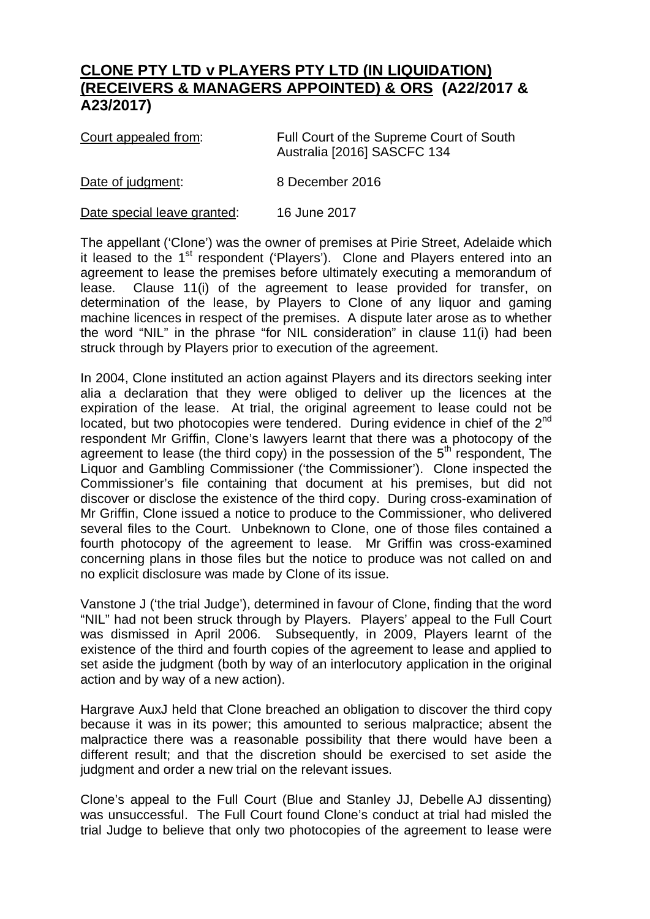## **CLONE PTY LTD v PLAYERS PTY LTD (IN LIQUIDATION) (RECEIVERS & MANAGERS APPOINTED) & ORS (A22/2017 & A23/2017)**

| Court appealed from: | Full Court of the Supreme Court of South<br>Australia [2016] SASCFC 134 |
|----------------------|-------------------------------------------------------------------------|
| Date of judgment:    | 8 December 2016                                                         |

Date special leave granted: 16 June 2017

The appellant ('Clone') was the owner of premises at Pirie Street, Adelaide which it leased to the  $1<sup>st</sup>$  respondent ('Players'). Clone and Players entered into an agreement to lease the premises before ultimately executing a memorandum of lease. Clause 11(i) of the agreement to lease provided for transfer, on determination of the lease, by Players to Clone of any liquor and gaming machine licences in respect of the premises. A dispute later arose as to whether the word "NIL" in the phrase "for NIL consideration" in clause 11(i) had been struck through by Players prior to execution of the agreement.

In 2004, Clone instituted an action against Players and its directors seeking inter alia a declaration that they were obliged to deliver up the licences at the expiration of the lease. At trial, the original agreement to lease could not be located, but two photocopies were tendered. During evidence in chief of the 2<sup>nd</sup> respondent Mr Griffin, Clone's lawyers learnt that there was a photocopy of the agreement to lease (the third copy) in the possession of the  $5<sup>th</sup>$  respondent, The Liquor and Gambling Commissioner ('the Commissioner'). Clone inspected the Commissioner's file containing that document at his premises, but did not discover or disclose the existence of the third copy. During cross-examination of Mr Griffin, Clone issued a notice to produce to the Commissioner, who delivered several files to the Court. Unbeknown to Clone, one of those files contained a fourth photocopy of the agreement to lease. Mr Griffin was cross-examined concerning plans in those files but the notice to produce was not called on and no explicit disclosure was made by Clone of its issue.

Vanstone J ('the trial Judge'), determined in favour of Clone, finding that the word "NIL" had not been struck through by Players. Players' appeal to the Full Court was dismissed in April 2006. Subsequently, in 2009, Players learnt of the existence of the third and fourth copies of the agreement to lease and applied to set aside the judgment (both by way of an interlocutory application in the original action and by way of a new action).

Hargrave AuxJ held that Clone breached an obligation to discover the third copy because it was in its power; this amounted to serious malpractice; absent the malpractice there was a reasonable possibility that there would have been a different result; and that the discretion should be exercised to set aside the judgment and order a new trial on the relevant issues.

Clone's appeal to the Full Court (Blue and Stanley JJ, Debelle AJ dissenting) was unsuccessful. The Full Court found Clone's conduct at trial had misled the trial Judge to believe that only two photocopies of the agreement to lease were